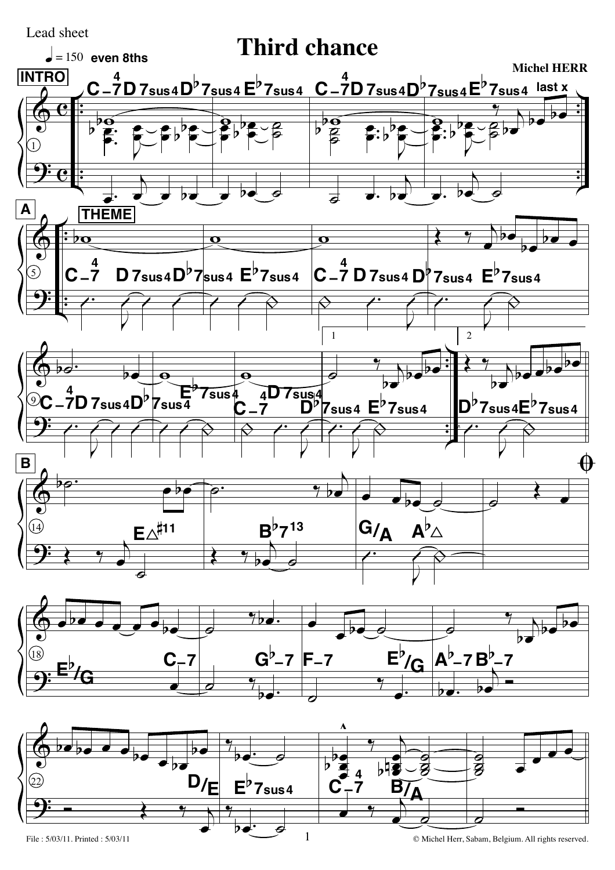

© Michel Herr, Sabam, Belgium. All rights reserved.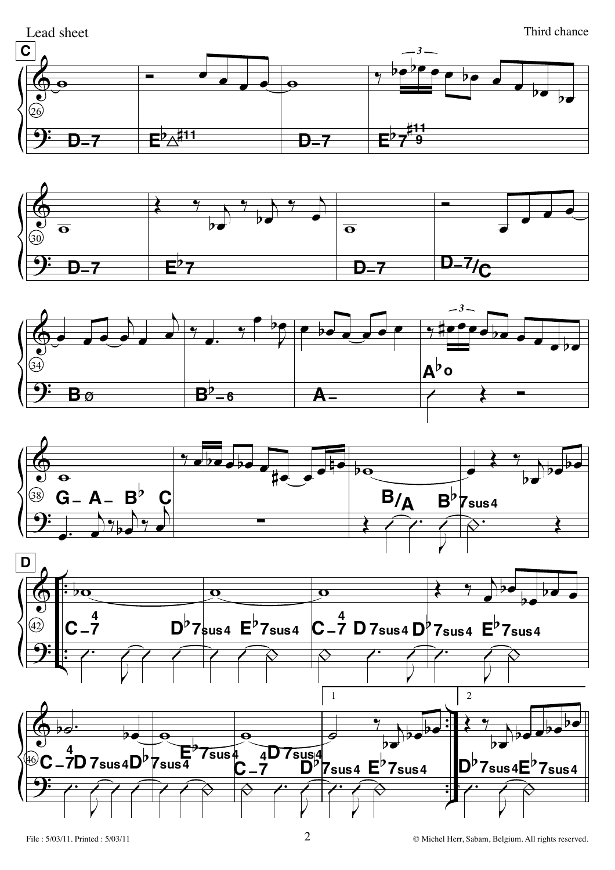







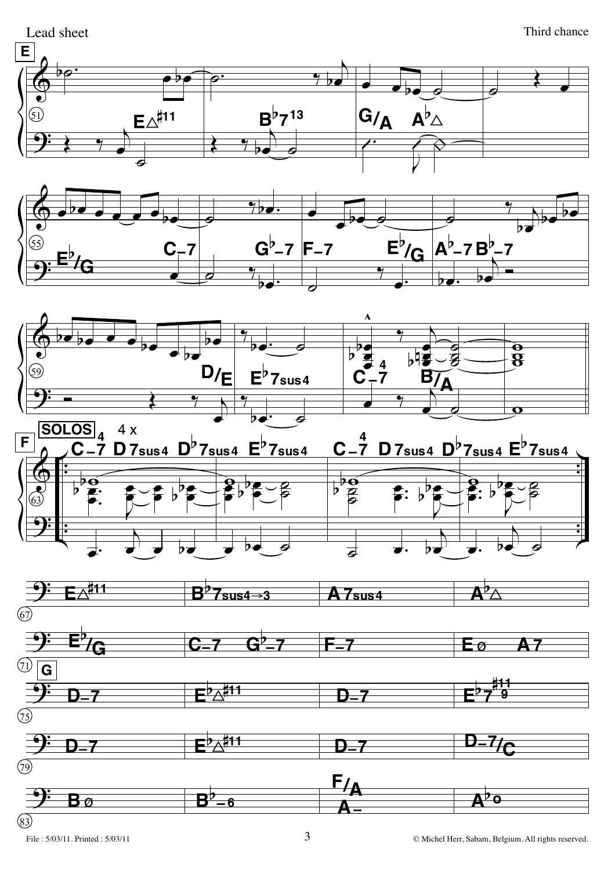





3